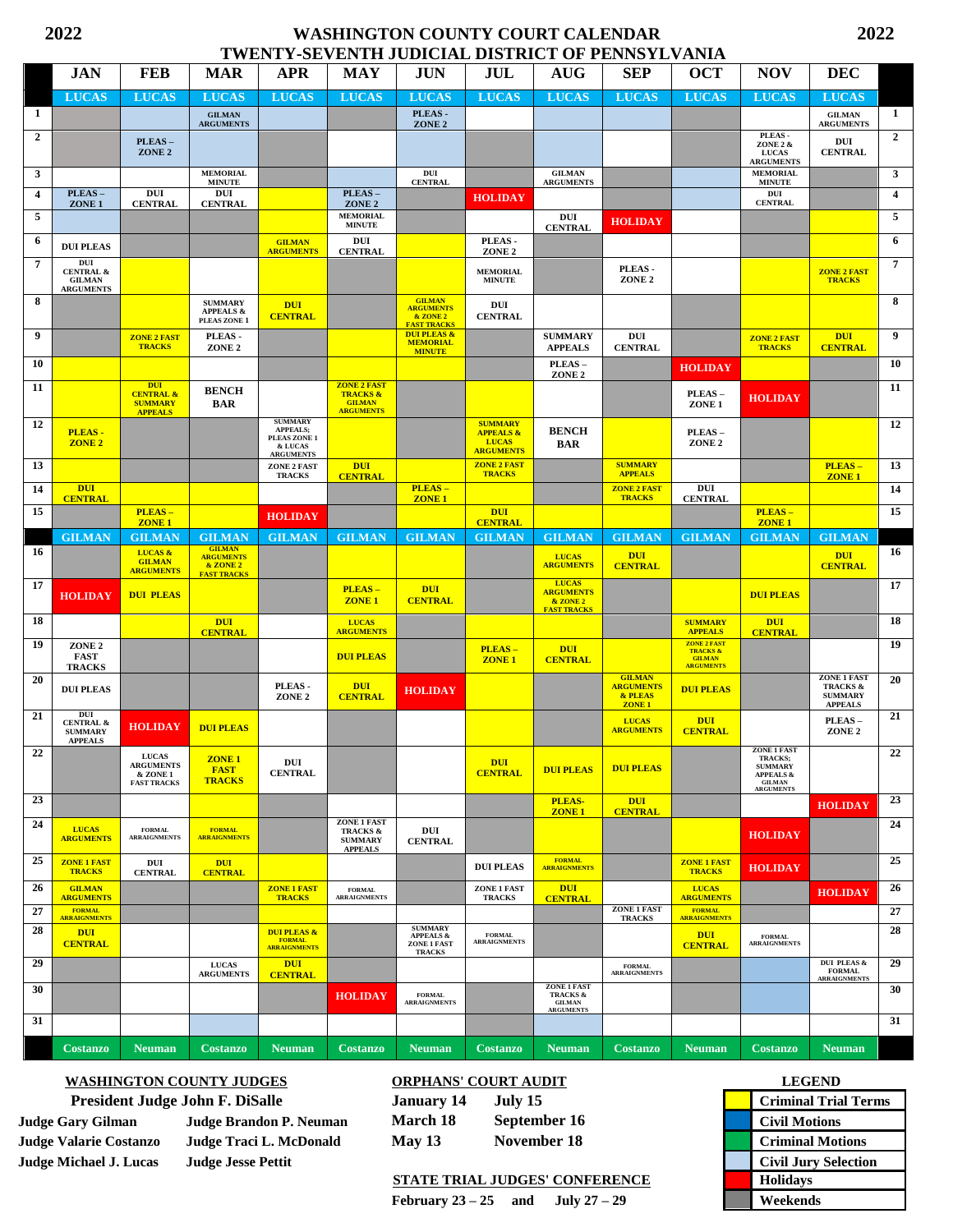## **2022 WASHINGTON COUNTY COURT CALENDAR 2022 TWENTY-SEVENTH JUDICIAL DISTRICT OF PENNSYLVANIA**

|                 |                                                                           |                                                                        |                                                                     |                                                                                  | I WENT I-SEVENTH JODICIAL DISTRICT OF I ENNSTLVANIA                            |                                                                               |                                                              |                                                                    |                                                                         |                                                                         |                                                                                                       |                                                                               |                         |
|-----------------|---------------------------------------------------------------------------|------------------------------------------------------------------------|---------------------------------------------------------------------|----------------------------------------------------------------------------------|--------------------------------------------------------------------------------|-------------------------------------------------------------------------------|--------------------------------------------------------------|--------------------------------------------------------------------|-------------------------------------------------------------------------|-------------------------------------------------------------------------|-------------------------------------------------------------------------------------------------------|-------------------------------------------------------------------------------|-------------------------|
|                 | <b>JAN</b>                                                                | <b>FEB</b>                                                             | <b>MAR</b>                                                          | <b>APR</b>                                                                       | <b>MAY</b>                                                                     | JUN                                                                           | JUL                                                          | <b>AUG</b>                                                         | <b>SEP</b>                                                              | <b>OCT</b>                                                              | <b>NOV</b>                                                                                            | <b>DEC</b>                                                                    |                         |
|                 | <b>LUCAS</b>                                                              | <b>LUCAS</b>                                                           | <b>LUCAS</b>                                                        | <b>LUCAS</b>                                                                     | <b>LUCAS</b>                                                                   | <b>LUCAS</b>                                                                  | <b>LUCAS</b>                                                 | <b>LUCAS</b>                                                       | <b>LUCAS</b>                                                            | <b>LUCAS</b>                                                            | <b>LUCAS</b>                                                                                          | <b>LUCAS</b>                                                                  |                         |
| 1               |                                                                           |                                                                        | <b>GILMAN</b><br><b>ARGUMENTS</b>                                   |                                                                                  |                                                                                | PLEAS-<br>ZONE <sub>2</sub>                                                   |                                                              |                                                                    |                                                                         |                                                                         |                                                                                                       | <b>GILMAN</b><br><b>ARGUMENTS</b>                                             | 1                       |
| $\overline{2}$  |                                                                           | PLEAS-<br>ZONE <sub>2</sub>                                            |                                                                     |                                                                                  |                                                                                |                                                                               |                                                              |                                                                    |                                                                         |                                                                         | PLEAS-<br>ZONE 2 &<br><b>LUCAS</b><br><b>ARGUMENTS</b>                                                | DUI<br><b>CENTRAL</b>                                                         | $\overline{2}$          |
| $\mathbf{3}$    |                                                                           |                                                                        | <b>MEMORIAL</b><br><b>MINUTE</b>                                    |                                                                                  |                                                                                | DUI<br><b>CENTRAL</b>                                                         |                                                              | <b>GILMAN</b><br><b>ARGUMENTS</b>                                  |                                                                         |                                                                         | <b>MEMORIAL</b><br><b>MINUTE</b>                                                                      |                                                                               | 3                       |
| $\overline{4}$  | PLEAS-<br>ZONE <sub>1</sub>                                               | DUI<br><b>CENTRAL</b>                                                  | DUI<br><b>CENTRAL</b>                                               |                                                                                  | PLEAS-<br>ZONE <sub>2</sub>                                                    |                                                                               | <b>HOLIDAY</b>                                               |                                                                    |                                                                         |                                                                         | DUI<br><b>CENTRAL</b>                                                                                 |                                                                               | $\overline{\mathbf{4}}$ |
| 5               |                                                                           |                                                                        |                                                                     |                                                                                  | <b>MEMORIAL</b><br><b>MINUTE</b>                                               |                                                                               |                                                              | DUI<br><b>CENTRAL</b>                                              | <b>HOLIDAY</b>                                                          |                                                                         |                                                                                                       |                                                                               | 5                       |
| 6               | <b>DUI PLEAS</b>                                                          |                                                                        |                                                                     | <b>GILMAN</b><br><b>ARGUMENTS</b>                                                | DUI<br><b>CENTRAL</b>                                                          |                                                                               | PLEAS-<br>ZONE <sub>2</sub>                                  |                                                                    |                                                                         |                                                                         |                                                                                                       |                                                                               | 6                       |
| $\overline{7}$  | $_{\rm DUI}$<br><b>CENTRAL &amp;</b><br><b>GILMAN</b><br><b>ARGUMENTS</b> |                                                                        |                                                                     |                                                                                  |                                                                                |                                                                               | <b>MEMORIAL</b><br><b>MINUTE</b>                             |                                                                    | PLEAS-<br>ZONE <sub>2</sub>                                             |                                                                         |                                                                                                       | <b>ZONE 2 FAST</b><br><b>TRACKS</b>                                           | $\overline{7}$          |
| 8               |                                                                           |                                                                        | <b>SUMMARY</b><br><b>APPEALS &amp;</b><br>PLEAS ZONE 1              | <b>DUI</b><br><b>CENTRAL</b>                                                     |                                                                                | <b>GILMAN</b><br><b>ARGUMENTS</b><br>& ZONE 2<br><b>FAST TRACKS</b>           | DUI<br><b>CENTRAL</b>                                        |                                                                    |                                                                         |                                                                         |                                                                                                       |                                                                               | 8                       |
| 9               |                                                                           | <b>ZONE 2 FAST</b><br><b>TRACKS</b>                                    | PLEAS-<br>ZONE <sub>2</sub>                                         |                                                                                  |                                                                                | <b>DUI PLEAS &amp;</b><br><b>MEMORIAL</b><br><b>MINUTE</b>                    |                                                              | <b>SUMMARY</b><br><b>APPEALS</b>                                   | DUI<br><b>CENTRAL</b>                                                   |                                                                         | <b>ZONE 2 FAST</b><br><b>TRACKS</b>                                                                   | <b>DUI</b><br><b>CENTRAL</b>                                                  | 9                       |
| 10              |                                                                           |                                                                        |                                                                     |                                                                                  |                                                                                |                                                                               |                                                              | PLEAS-<br>ZONE <sub>2</sub>                                        |                                                                         | <b>HOLIDAY</b>                                                          |                                                                                                       |                                                                               | 10                      |
| 11              |                                                                           | <b>DUI</b><br><b>CENTRAL &amp;</b><br><b>SUMMARY</b><br><b>APPEALS</b> | <b>BENCH</b><br><b>BAR</b>                                          |                                                                                  | <b>ZONE 2 FAST</b><br><b>TRACKS &amp;</b><br><b>GILMAN</b><br><b>ARGUMENTS</b> |                                                                               |                                                              |                                                                    |                                                                         | PLEAS-<br>ZONE <sub>1</sub>                                             | <b>HOLIDAY</b>                                                                                        |                                                                               | 11                      |
| 12              | PLEAS-<br>ZONE <sub>2</sub>                                               |                                                                        |                                                                     | <b>SUMMARY</b><br><b>APPEALS;</b><br>PLEAS ZONE 1<br>& LUCAS<br><b>ARGUMENTS</b> |                                                                                |                                                                               | <b>SUMMARY</b><br><b>APPEALS &amp;</b><br>LUCAS<br>ARGUMENTS | <b>BENCH</b><br>BAR                                                |                                                                         | PLEAS-<br>ZONE <sub>2</sub>                                             |                                                                                                       |                                                                               | 12                      |
| 13              |                                                                           |                                                                        |                                                                     | ZONE 2 FAST<br><b>TRACKS</b>                                                     | <b>DUI</b><br><b>CENTRAL</b>                                                   |                                                                               | <b>ZONE 2 FAST</b><br><b>TRACKS</b>                          |                                                                    | <b>SUMMARY</b><br><b>APPEALS</b>                                        |                                                                         |                                                                                                       | PLEAS-<br><b>ZONE 1</b>                                                       | 13                      |
| 14              | <b>DUI</b><br><b>CENTRAL</b>                                              |                                                                        |                                                                     |                                                                                  |                                                                                | PLEAS-<br>ZONE <sub>1</sub>                                                   |                                                              |                                                                    | <b>ZONE 2 FAST</b><br><b>TRACKS</b>                                     | DUI<br><b>CENTRAL</b>                                                   |                                                                                                       |                                                                               | 14                      |
| 15              |                                                                           | PLEAS-<br>ZONE <sub>1</sub>                                            |                                                                     | <b>HOLIDAY</b>                                                                   |                                                                                |                                                                               | <b>DUI</b><br><b>CENTRAL</b>                                 |                                                                    |                                                                         |                                                                         | PLEAS-<br><b>ZONE 1</b>                                                                               |                                                                               | 15                      |
|                 | <b>GILMAN</b>                                                             | <b>GILMAN</b>                                                          | <b>GILMAN</b>                                                       | <b>GILMAN</b>                                                                    | <b>GILMAN</b>                                                                  | <b>GILMAN</b>                                                                 | <b>GILMAN</b>                                                | <b>GILMAN</b>                                                      | <b>GILMAN</b>                                                           | <b>GILMAN</b>                                                           | <b>GILMAN</b>                                                                                         | <b>GILMAN</b>                                                                 |                         |
| 16              |                                                                           | LUCAS &<br><b>GILMAN</b><br><b>ARGUMENTS</b>                           | <b>GILMAN</b><br><b>ARGUMENTS</b><br>& ZONE 2<br><b>FAST TRACKS</b> |                                                                                  |                                                                                |                                                                               |                                                              | <b>LUCAS</b><br><b>ARGUMENTS</b>                                   | <b>DUI</b><br><b>CENTRAL</b>                                            |                                                                         |                                                                                                       | <b>DUI</b><br><b>CENTRAL</b>                                                  | 16                      |
| 17              | <b>HOLIDAY</b>                                                            | <b>DUI PLEAS</b>                                                       |                                                                     |                                                                                  | PLEAS-<br><b>ZONE 1</b>                                                        | <b>DUI</b><br><b>CENTRAL</b>                                                  |                                                              | <b>LUCAS</b><br><b>ARGUMENTS</b><br>& ZONE 2<br><b>FAST TRACKS</b> |                                                                         |                                                                         | <b>DUI PLEAS</b>                                                                                      |                                                                               | 17                      |
| 18              |                                                                           |                                                                        | <b>DUI</b><br><b>CENTRAL</b>                                        |                                                                                  | <b>LUCAS</b><br><b>ARGUMENTS</b>                                               |                                                                               |                                                              |                                                                    |                                                                         | <b>SUMMARY</b><br><b>APPEALS</b>                                        | <b>DUI</b><br><b>CENTRAL</b>                                                                          |                                                                               | 18                      |
| 19              | ZONE <sub>2</sub><br>FAST<br><b>TRACKS</b>                                |                                                                        |                                                                     |                                                                                  | <b>DUI PLEAS</b>                                                               |                                                                               | PLEAS-<br>ZONE <sub>1</sub>                                  | <b>DUI</b><br><b>CENTRAL</b>                                       |                                                                         | <b>ZONE 2 FAST</b><br><b>TRACKS &amp;</b><br>GILMAN<br><b>ARGUMENTS</b> |                                                                                                       |                                                                               | 19                      |
| 20              | <b>DUI PLEAS</b>                                                          |                                                                        |                                                                     | PLEAS-<br>ZONE <sub>2</sub>                                                      | <b>DUI</b><br><b>CENTRAL</b>                                                   | <b>HOLIDAY</b>                                                                |                                                              |                                                                    | <b>GILMAN</b><br><b>ARGUMENTS</b><br>& PLEAS<br>ZONE <sub>1</sub>       | <b>DUI PLEAS</b>                                                        |                                                                                                       | <b>ZONE 1 FAST</b><br><b>TRACKS &amp;</b><br><b>SUMMARY</b><br><b>APPEALS</b> | 20                      |
| 21              | DUI<br><b>CENTRAL &amp;</b><br><b>SUMMARY</b><br><b>APPEALS</b>           | <b>HOLIDAY</b>                                                         | <b>DUI PLEAS</b>                                                    |                                                                                  |                                                                                |                                                                               |                                                              |                                                                    | <b>LUCAS</b><br><b>ARGUMENTS</b>                                        | <b>DUI</b><br><b>CENTRAL</b>                                            |                                                                                                       | PLEAS-<br>ZONE <sub>2</sub>                                                   | 21                      |
| $\overline{22}$ |                                                                           | <b>LUCAS</b><br><b>ARGUMENTS</b><br>& ZONE 1<br><b>FAST TRACKS</b>     | ZONE <sub>1</sub><br><b>FAST</b><br><b>TRACKS</b>                   | DUI<br><b>CENTRAL</b>                                                            |                                                                                |                                                                               | <b>DUI</b><br><b>CENTRAL</b>                                 | <b>DUI PLEAS</b>                                                   | <b>DUI PLEAS</b>                                                        |                                                                         | ZONE 1 FAST<br>TRACKS;<br><b>SUMMARY</b><br><b>APPEALS &amp;</b><br><b>GILMAN</b><br><b>ARGUMENTS</b> |                                                                               | 22                      |
| 23              |                                                                           |                                                                        |                                                                     |                                                                                  |                                                                                |                                                                               |                                                              | PLEAS-<br><b>ZONE1</b>                                             | <b>DUI</b><br><b>CENTRAL</b>                                            |                                                                         |                                                                                                       | <b>HOLIDAY</b>                                                                | 23                      |
| 24              | <b>LUCAS</b><br><b>ARGUMENTS</b>                                          | <b>FORMAL</b><br><b>ARRAIGNMENTS</b>                                   | <b>FORMAL</b><br><b>ARRAIGNMENTS</b>                                |                                                                                  | ZONE 1 FAST<br><b>TRACKS &amp;</b><br><b>SUMMARY</b><br><b>APPEALS</b>         | DUI<br><b>CENTRAL</b>                                                         |                                                              |                                                                    |                                                                         |                                                                         | <b>HOLIDAY</b>                                                                                        |                                                                               | 24                      |
| 25              | <b>ZONE 1 FAST</b><br><b>TRACKS</b>                                       | DUI<br><b>CENTRAL</b>                                                  | <b>DUI</b><br><b>CENTRAL</b>                                        |                                                                                  |                                                                                |                                                                               | <b>DUI PLEAS</b>                                             | <b>FORMAL</b><br><b>ARRAIGNMENTS</b>                               |                                                                         | <b>ZONE 1 FAST</b><br><b>TRACKS</b>                                     | <b>HOLIDAY</b>                                                                                        |                                                                               | 25                      |
| 26              | <b>GILMAN</b><br><b>ARGUMENTS</b>                                         |                                                                        |                                                                     | <b>ZONE 1 FAST</b><br><b>TRACKS</b>                                              | <b>FORMAL</b><br><b>ARRAIGNMENTS</b>                                           |                                                                               | ZONE 1 FAST<br><b>TRACKS</b>                                 | <b>DUI</b><br><b>CENTRAL</b>                                       |                                                                         | <b>LUCAS</b><br><b>ARGUMENTS</b>                                        |                                                                                                       | <b>HOLIDAY</b>                                                                | 26                      |
| 27              | <b>FORMAL</b><br><b>ARRAIGNMENTS</b>                                      |                                                                        |                                                                     |                                                                                  |                                                                                |                                                                               |                                                              |                                                                    | <b>ZONE 1 FAST</b><br><b>TRACKS</b>                                     | <b>FORMAL</b><br><b>ARRAIGNMENTS</b>                                    |                                                                                                       |                                                                               | 27                      |
| 28              | <b>DUI</b><br><b>CENTRAL</b>                                              |                                                                        |                                                                     | <b>DUI PLEAS &amp;</b><br>FORMAL<br>ARRAIGNMENTS                                 |                                                                                | <b>SUMMARY</b><br><b>APPEALS &amp;</b><br><b>ZONE 1 FAST</b><br><b>TRACKS</b> | FORMAL<br>ARRAIGNMENTS                                       |                                                                    |                                                                         | <b>DUI</b><br><b>CENTRAL</b>                                            | <b>FORMAL</b><br><b>ARRAIGNMENTS</b>                                                                  |                                                                               | 28                      |
| 29              |                                                                           |                                                                        | <b>LUCAS</b><br><b>ARGUMENTS</b>                                    | <b>DUI</b><br><b>CENTRAL</b>                                                     |                                                                                |                                                                               |                                                              |                                                                    | $\begin{array}{c} \textbf{FORMAL} \\ \textbf{ARRAIGNMENTS} \end{array}$ |                                                                         |                                                                                                       | DUI PLEAS &<br><b>FORMAL</b><br>ARRAIGNMENTS                                  | 29                      |
| 30              |                                                                           |                                                                        |                                                                     |                                                                                  | <b>HOLIDAY</b>                                                                 | <b>FORMAL</b><br><b>ARRAIGNMENTS</b>                                          |                                                              | <b>ZONE 1 FAST</b><br><b>TRACKS &amp;</b><br>GILMAN<br>ARGUMENTS   |                                                                         |                                                                         |                                                                                                       |                                                                               | 30                      |
| 31              |                                                                           |                                                                        |                                                                     |                                                                                  |                                                                                |                                                                               |                                                              |                                                                    |                                                                         |                                                                         |                                                                                                       |                                                                               | 31                      |
|                 | <b>Costanzo</b>                                                           | <b>Neuman</b>                                                          | <b>Costanzo</b>                                                     | <b>Neuman</b>                                                                    | <b>Costanzo</b>                                                                | <b>Neuman</b>                                                                 | <b>Costanzo</b>                                              | <b>Neuman</b>                                                      | <b>Costanzo</b>                                                         | <b>Neuman</b>                                                           | <b>Costanzo</b>                                                                                       | <b>Neuman</b>                                                                 |                         |

## **WASHINGTON COUNTY JUDGES DRPHANS' COURT AUDIT President Judge John F. DiSalle January 14 July 15**

**Judge Michael J. Lucas Judge Jesse Pettit** 

**Judge Gary Gilman Judge Brandon P. Neuman March 18 September 16 Judge Valarie Costanzo Judge Traci L. McDonald May 13 November 18** 

## **STATE TRIAL JUDGES' CONFERENCE**

**February 23** – **25** and **July 27** – **29** 

| <b>LEGEND</b>               |
|-----------------------------|
| <b>Criminal Trial Terms</b> |
| <b>Civil Motions</b>        |
| <b>Criminal Motions</b>     |
| <b>Civil Jury Selection</b> |
| <b>Holidays</b>             |
| Weekends                    |